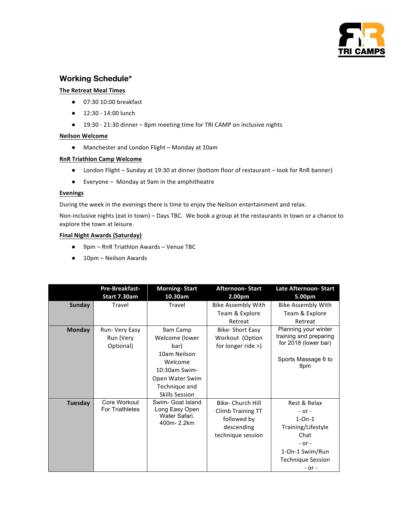

# **Working Schedule\***

### **The Retreat Meal Times**

- 07:30 10:00 breakfast
- 12:30 - 14:00 lunch
- 19:30 21:30 dinner 8pm meeting time for TRI CAMP on inclusive nights

#### **Neilson Welcome**

● Manchester and London Flight – Monday at 10am

#### **RnR Triathlon Camp Welcome**

- London Flight Sunday at 19:30 at dinner (bottom floor of restaurant look for RnR banner)
- Everyone Monday at 9am in the amphitheatre

#### **Evenings**

During the week in the evenings there is time to enjoy the Neilson entertainment and relax.

Non-inclusive nights (eat in town) – Days TBC. We book a group at the restaurants in town or a chance to explore the town at leisure.

## **Final Night Awards (Saturday)**

- 9pm RnR Triathlon Awards Venue TBC
- 10pm Neilson Awards

|               | Pre-Breakfast-         | <b>Morning-Start</b>                          | <b>Afternoon-Start</b>    | Late Afternoon- Start     |
|---------------|------------------------|-----------------------------------------------|---------------------------|---------------------------|
|               | Start 7.30am           | 10.30am                                       | 2.00pm                    | 5.00pm                    |
| Sunday        | Travel                 | Travel                                        | <b>Bike Assembly With</b> | <b>Bike Assembly With</b> |
|               |                        |                                               | Team & Explore            | Team & Explore            |
|               |                        |                                               | Retreat                   | Retreat                   |
| <b>Monday</b> | Run- Very Easy         | 9am Camp                                      | <b>Bike-Short Easy</b>    | Planning your winter      |
|               | Run (Very              | Welcome (lower                                | Workout (Option           | training and preparing    |
|               | Optional)              | bar)                                          | for longer ride $>$ )     | for 2018 (lower bar)      |
|               |                        | 10am Neilson                                  |                           |                           |
|               |                        | Welcome                                       |                           | Sports Massage 6 to       |
|               |                        | 10:30am Swim-                                 |                           | 8pm                       |
|               |                        | Open Water Swim                               |                           |                           |
|               |                        | Technique and                                 |                           |                           |
|               |                        | <b>Skills Session</b>                         |                           |                           |
| Tuesday       | Core Workout           | Swim- Goat Island                             | <b>Bike- Church Hill</b>  | Rest & Relax              |
|               | <b>For Triathletes</b> | Long Easy Open<br>Water Safari.<br>400m-2.2km | Climb Training TT         | $-$ or $-$                |
|               |                        |                                               | followed by               | $1 - On - 1$              |
|               |                        |                                               | descending                | Training/Lifestyle        |
|               |                        |                                               | technique session         | Chat                      |
|               |                        |                                               |                           | $-$ or $-$                |
|               |                        |                                               |                           | 1-On-1 Swim/Run           |
|               |                        |                                               |                           | Technique Session         |
|               |                        |                                               |                           | - or -                    |